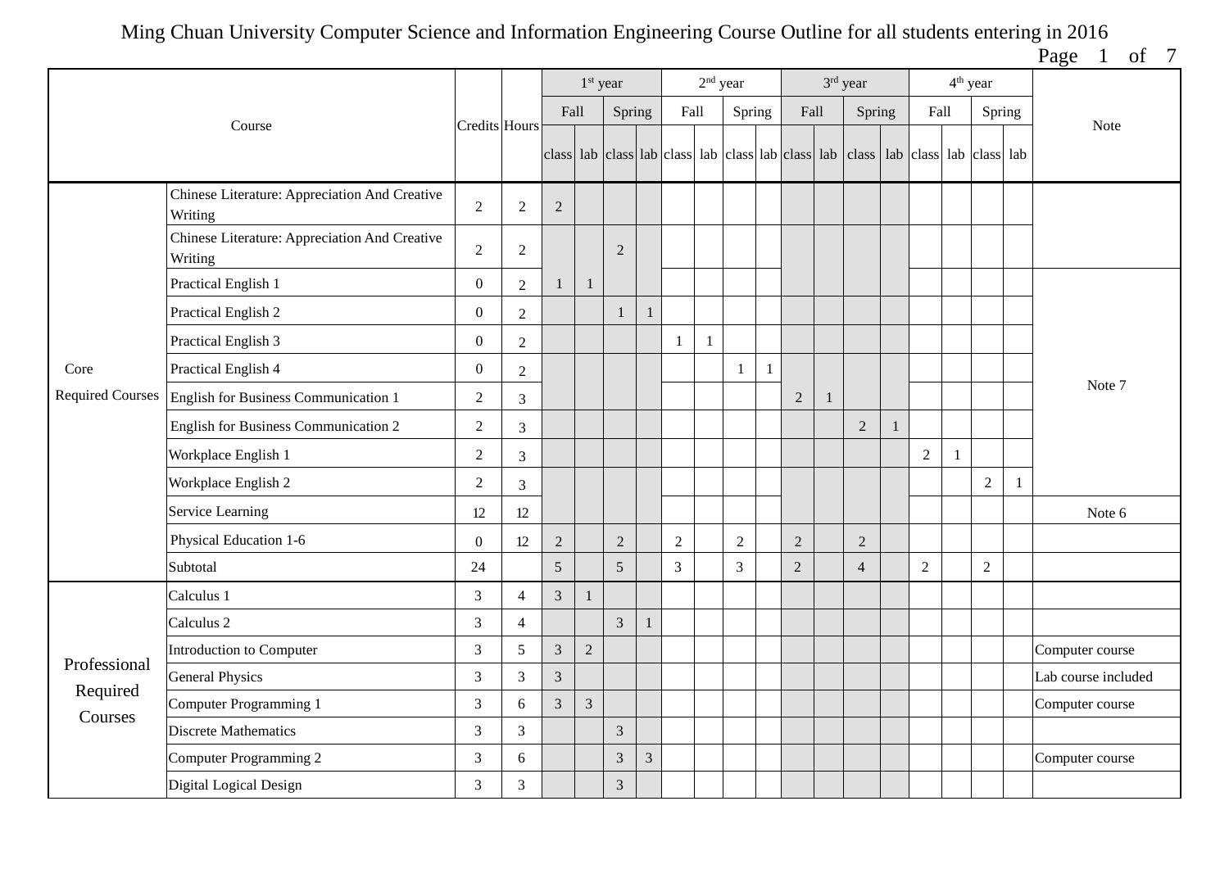Page 1 of 7

|              |                                                          |                  |                |                | 1 <sup>st</sup> year |                |                |                | 2 <sup>nd</sup> year |            |                         |                |              | 3rd year                                                                                  |   |                |              | 4 <sup>th</sup> year |              |                     |
|--------------|----------------------------------------------------------|------------------|----------------|----------------|----------------------|----------------|----------------|----------------|----------------------|------------|-------------------------|----------------|--------------|-------------------------------------------------------------------------------------------|---|----------------|--------------|----------------------|--------------|---------------------|
|              | Course                                                   | Credits Hours    |                | Fall           |                      | Spring         |                | Fall           |                      | Spring     |                         | Fall           |              | Spring                                                                                    |   | Fall           |              | Spring               |              | Note                |
|              |                                                          |                  |                |                |                      |                |                |                |                      |            |                         |                |              | class lab class lab class lab class lab class lab class lab class lab class lab class lab |   |                |              |                      |              |                     |
|              | Chinese Literature: Appreciation And Creative<br>Writing | $\sqrt{2}$       | $\sqrt{2}$     | $\sqrt{2}$     |                      |                |                |                |                      |            |                         |                |              |                                                                                           |   |                |              |                      |              |                     |
|              | Chinese Literature: Appreciation And Creative<br>Writing | $\overline{2}$   | $\overline{2}$ |                |                      | 2              |                |                |                      |            |                         |                |              |                                                                                           |   |                |              |                      |              |                     |
|              | Practical English 1                                      | $\boldsymbol{0}$ | $\overline{2}$ | 1              | $\mathbf{1}$         |                |                |                |                      |            |                         |                |              |                                                                                           |   |                |              |                      |              |                     |
|              | Practical English 2                                      | $\boldsymbol{0}$ | $\overline{2}$ |                |                      | $\mathbf{1}$   |                |                |                      |            |                         |                |              |                                                                                           |   |                |              |                      |              |                     |
|              | Practical English 3                                      | $\overline{0}$   | $\overline{2}$ |                |                      |                |                | 1              | -1                   |            |                         |                |              |                                                                                           |   |                |              |                      |              |                     |
| Core         | Practical English 4                                      | $\boldsymbol{0}$ | $\overline{2}$ |                |                      |                |                |                |                      | 1          | $\overline{\mathbf{1}}$ |                |              |                                                                                           |   |                |              |                      |              | Note 7              |
|              | Required Courses   English for Business Communication 1  | 2                | 3              |                |                      |                |                |                |                      |            |                         | $\overline{2}$ | $\mathbf{1}$ |                                                                                           |   |                |              |                      |              |                     |
|              | English for Business Communication 2                     | $\sqrt{2}$       | 3              |                |                      |                |                |                |                      |            |                         |                |              | $\overline{2}$                                                                            | 1 |                |              |                      |              |                     |
|              | Workplace English 1                                      | $\overline{2}$   | 3              |                |                      |                |                |                |                      |            |                         |                |              |                                                                                           |   | $\overline{c}$ | $\mathbf{1}$ |                      |              |                     |
|              | Workplace English 2                                      | $\overline{2}$   | 3              |                |                      |                |                |                |                      |            |                         |                |              |                                                                                           |   |                |              | $\sqrt{2}$           | $\mathbf{1}$ |                     |
|              | Service Learning                                         | 12               | 12             |                |                      |                |                |                |                      |            |                         |                |              |                                                                                           |   |                |              |                      |              | Note 6              |
|              | Physical Education 1-6                                   | $\boldsymbol{0}$ | 12             | $\sqrt{2}$     |                      | $\overline{2}$ |                | $\overline{2}$ |                      | $\sqrt{2}$ |                         | $\sqrt{2}$     |              | $\overline{2}$                                                                            |   |                |              |                      |              |                     |
|              | Subtotal                                                 | 24               |                | 5              |                      | 5              |                | $\overline{3}$ |                      | 3          |                         | $\overline{2}$ |              | $\overline{4}$                                                                            |   | $\overline{2}$ |              | $\overline{2}$       |              |                     |
|              | Calculus 1                                               | $\mathfrak{Z}$   | $\overline{4}$ | 3              | 1                    |                |                |                |                      |            |                         |                |              |                                                                                           |   |                |              |                      |              |                     |
|              | Calculus <sub>2</sub>                                    | 3                | $\overline{4}$ |                |                      | $\overline{3}$ |                |                |                      |            |                         |                |              |                                                                                           |   |                |              |                      |              |                     |
| Professional | Introduction to Computer                                 | 3                | 5              | $\mathfrak{Z}$ | $\overline{2}$       |                |                |                |                      |            |                         |                |              |                                                                                           |   |                |              |                      |              | Computer course     |
| Required     | <b>General Physics</b>                                   | $\mathfrak{Z}$   | 3              | $\mathfrak{Z}$ |                      |                |                |                |                      |            |                         |                |              |                                                                                           |   |                |              |                      |              | Lab course included |
| Courses      | Computer Programming 1                                   | $\mathfrak{Z}$   | 6              | $\overline{3}$ | $\mathfrak{Z}$       |                |                |                |                      |            |                         |                |              |                                                                                           |   |                |              |                      |              | Computer course     |
|              | <b>Discrete Mathematics</b>                              | 3                | 3              |                |                      | $\overline{3}$ |                |                |                      |            |                         |                |              |                                                                                           |   |                |              |                      |              |                     |
|              | Computer Programming 2                                   | 3                | 6              |                |                      | 3              | $\overline{3}$ |                |                      |            |                         |                |              |                                                                                           |   |                |              |                      |              | Computer course     |
|              | Digital Logical Design                                   | $\mathfrak{Z}$   | $\mathfrak{Z}$ |                |                      | 3              |                |                |                      |            |                         |                |              |                                                                                           |   |                |              |                      |              |                     |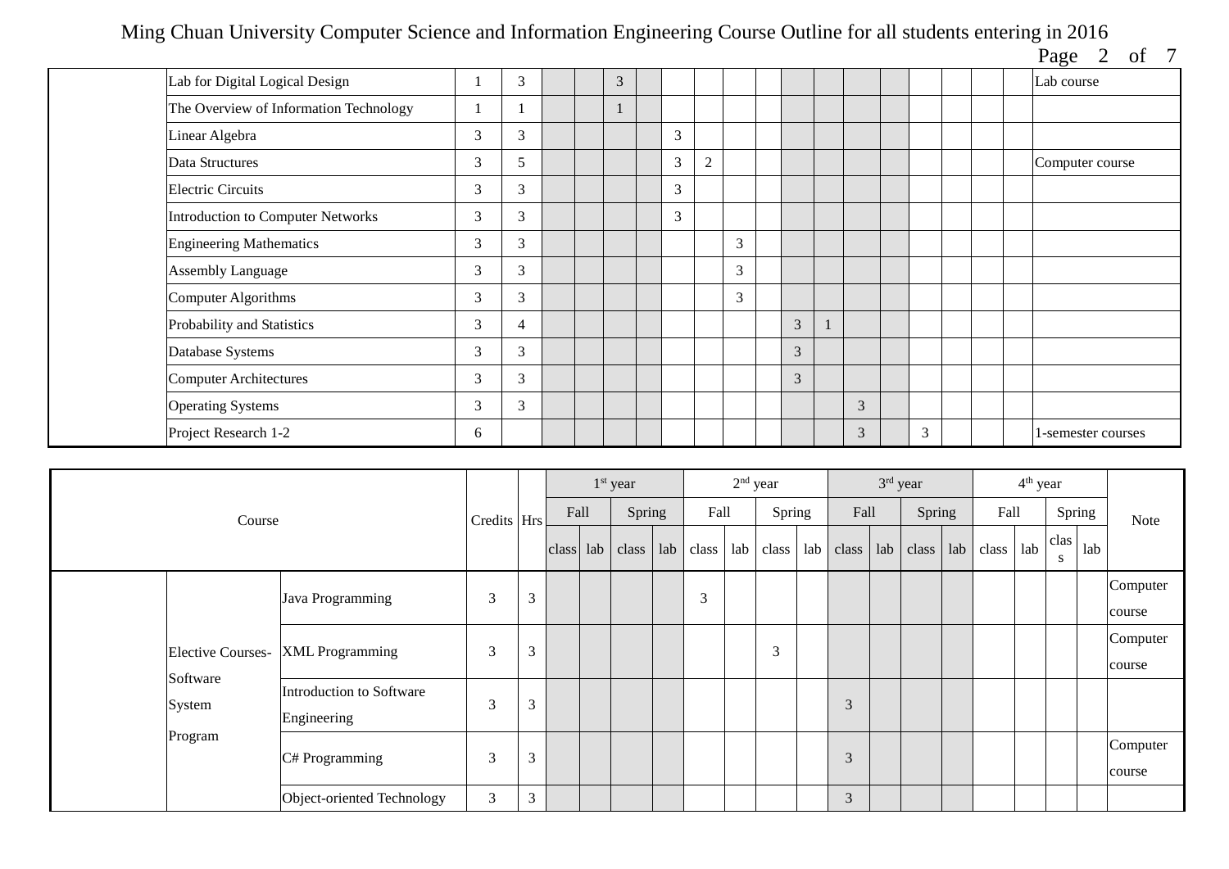| Page | ΩT |  |
|------|----|--|

|                                        |   |   |  |   |   |                |   |   |   |   |  | $\log e$ $\approx$<br>$\mathbf{v}$ |
|----------------------------------------|---|---|--|---|---|----------------|---|---|---|---|--|------------------------------------|
| Lab for Digital Logical Design         |   | 3 |  | 3 |   |                |   |   |   |   |  | Lab course                         |
| The Overview of Information Technology |   |   |  |   |   |                |   |   |   |   |  |                                    |
| Linear Algebra                         | 3 | 3 |  |   | 3 |                |   |   |   |   |  |                                    |
| Data Structures                        | 3 | 5 |  |   | 3 | $\overline{c}$ |   |   |   |   |  | Computer course                    |
| <b>Electric Circuits</b>               | 3 | 3 |  |   | 3 |                |   |   |   |   |  |                                    |
| Introduction to Computer Networks      | 3 | 3 |  |   | 3 |                |   |   |   |   |  |                                    |
| <b>Engineering Mathematics</b>         | 3 | 3 |  |   |   |                | 3 |   |   |   |  |                                    |
| <b>Assembly Language</b>               | 3 | 3 |  |   |   |                | 3 |   |   |   |  |                                    |
| Computer Algorithms                    | 3 | 3 |  |   |   |                | 3 |   |   |   |  |                                    |
| Probability and Statistics             | 3 | 4 |  |   |   |                |   | 3 |   |   |  |                                    |
| Database Systems                       | 3 | 3 |  |   |   |                |   | 3 |   |   |  |                                    |
| <b>Computer Architectures</b>          | 3 | 3 |  |   |   |                |   | 3 |   |   |  |                                    |
| <b>Operating Systems</b>               | 3 | 3 |  |   |   |                |   |   | 3 |   |  |                                    |
| Project Research 1-2                   | 6 |   |  |   |   |                |   |   | 3 | 3 |  | 1-semester courses                 |

|                          |                            |             |   |      | $1st$ year        |     |       | $2nd$ year |        |     |       | $3rd$ year |        |                                                             | 4 <sup>th</sup> year |           |     |          |
|--------------------------|----------------------------|-------------|---|------|-------------------|-----|-------|------------|--------|-----|-------|------------|--------|-------------------------------------------------------------|----------------------|-----------|-----|----------|
| Course                   |                            | Credits Hrs |   | Fall | Spring            |     | Fall  |            | Spring |     | Fall  |            | Spring | Fall                                                        |                      | Spring    |     | Note     |
|                          |                            |             |   |      | $class$ lab class | lab | class | lab        | class  | lab | class |            |        | $\lfloor$ lab $\lfloor$ class $\lfloor$ lab $\lfloor$ class | lab                  | clas<br>S | lab |          |
|                          | Java Programming           | 3           | 3 |      |                   |     | 3     |            |        |     |       |            |        |                                                             |                      |           |     | Computer |
|                          |                            |             |   |      |                   |     |       |            |        |     |       |            |        |                                                             |                      |           |     | course   |
| <b>Elective Courses-</b> | <b>XML</b> Programming     | 3           | 3 |      |                   |     |       |            | 3      |     |       |            |        |                                                             |                      |           |     | Computer |
| Software                 |                            |             |   |      |                   |     |       |            |        |     |       |            |        |                                                             |                      |           |     | course   |
| System                   | Introduction to Software   | 3           | 3 |      |                   |     |       |            |        |     | 3     |            |        |                                                             |                      |           |     |          |
|                          | Engineering                |             |   |      |                   |     |       |            |        |     |       |            |        |                                                             |                      |           |     |          |
| Program                  | C# Programming             | 3           | 3 |      |                   |     |       |            |        |     | 3     |            |        |                                                             |                      |           |     | Computer |
|                          |                            |             |   |      |                   |     |       |            |        |     |       |            |        |                                                             |                      |           |     | course   |
|                          | Object-oriented Technology | 3           | 3 |      |                   |     |       |            |        |     | 3     |            |        |                                                             |                      |           |     |          |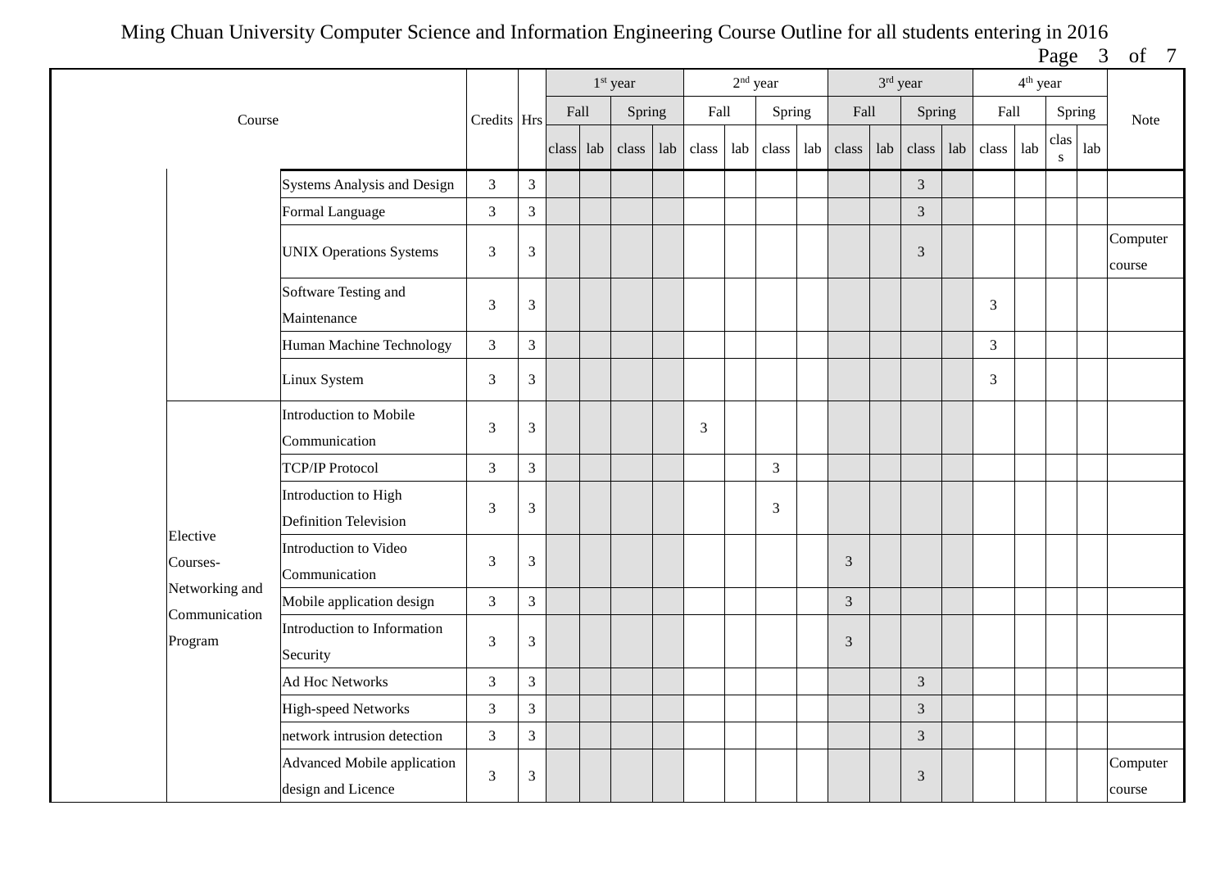Page 3 of 7

|                                 |                                                          |                             |                             |           | $1st$ year |     |                |     | $2nd$ year     |     |                | $3rd$ year |                |     |       | $4^{\text{th}}$ year |           |        |                    |
|---------------------------------|----------------------------------------------------------|-----------------------------|-----------------------------|-----------|------------|-----|----------------|-----|----------------|-----|----------------|------------|----------------|-----|-------|----------------------|-----------|--------|--------------------|
| Course                          |                                                          | Credits Hrs                 |                             | Fall      | Spring     |     | Fall           |     | Spring         |     | Fall           |            | Spring         |     | Fall  |                      |           | Spring | Note               |
|                                 |                                                          |                             |                             | class lab | class      | lab | class          | lab | class          | lab | class          | lab        | class          | lab | class | lab                  | clas<br>S | lab    |                    |
|                                 | Systems Analysis and Design                              | $\mathfrak{Z}$              | $\mathfrak{Z}$              |           |            |     |                |     |                |     |                |            | $\overline{3}$ |     |       |                      |           |        |                    |
|                                 | Formal Language                                          | $\overline{3}$              | $\mathfrak{Z}$              |           |            |     |                |     |                |     |                |            | $\overline{3}$ |     |       |                      |           |        |                    |
|                                 | <b>UNIX Operations Systems</b>                           | $\mathfrak{Z}$              | $\mathfrak{Z}$              |           |            |     |                |     |                |     |                |            | 3              |     |       |                      |           |        | Computer<br>course |
|                                 | Software Testing and<br>Maintenance                      | $\ensuremath{\mathfrak{Z}}$ | $\mathfrak{Z}$              |           |            |     |                |     |                |     |                |            |                |     | 3     |                      |           |        |                    |
|                                 | Human Machine Technology                                 | $\mathfrak{Z}$              | $\overline{3}$              |           |            |     |                |     |                |     |                |            |                |     | 3     |                      |           |        |                    |
|                                 | Linux System                                             | 3                           | $\mathfrak{Z}$              |           |            |     |                |     |                |     |                |            |                |     | 3     |                      |           |        |                    |
|                                 | <b>Introduction to Mobile</b><br>Communication           | 3                           | $\mathfrak{Z}$              |           |            |     | $\overline{3}$ |     |                |     |                |            |                |     |       |                      |           |        |                    |
|                                 | <b>TCP/IP Protocol</b>                                   | 3                           | 3                           |           |            |     |                |     | $\mathfrak{Z}$ |     |                |            |                |     |       |                      |           |        |                    |
|                                 | Introduction to High<br><b>Definition Television</b>     | $\mathfrak{Z}$              | $\ensuremath{\mathfrak{Z}}$ |           |            |     |                |     | $\overline{3}$ |     |                |            |                |     |       |                      |           |        |                    |
| Elective<br>Courses-            | Introduction to Video<br>Communication                   | $\mathfrak{Z}$              | $\mathfrak{Z}$              |           |            |     |                |     |                |     | 3              |            |                |     |       |                      |           |        |                    |
| Networking and<br>Communication | Mobile application design                                | 3                           | $\mathfrak{Z}$              |           |            |     |                |     |                |     | $\mathfrak{Z}$ |            |                |     |       |                      |           |        |                    |
| Program                         | Introduction to Information<br>Security                  | 3                           | 3                           |           |            |     |                |     |                |     | 3              |            |                |     |       |                      |           |        |                    |
|                                 | <b>Ad Hoc Networks</b>                                   | $\mathfrak{Z}$              | $\mathfrak{Z}$              |           |            |     |                |     |                |     |                |            | $\mathfrak{Z}$ |     |       |                      |           |        |                    |
|                                 | <b>High-speed Networks</b>                               | 3                           | $\overline{3}$              |           |            |     |                |     |                |     |                |            | $\overline{3}$ |     |       |                      |           |        |                    |
|                                 | network intrusion detection                              | 3                           | $\mathfrak{Z}$              |           |            |     |                |     |                |     |                |            | $\mathfrak{Z}$ |     |       |                      |           |        |                    |
|                                 | <b>Advanced Mobile application</b><br>design and Licence | $\mathfrak{Z}$              | $\ensuremath{\mathfrak{Z}}$ |           |            |     |                |     |                |     |                |            | $\mathfrak{Z}$ |     |       |                      |           |        | Computer<br>course |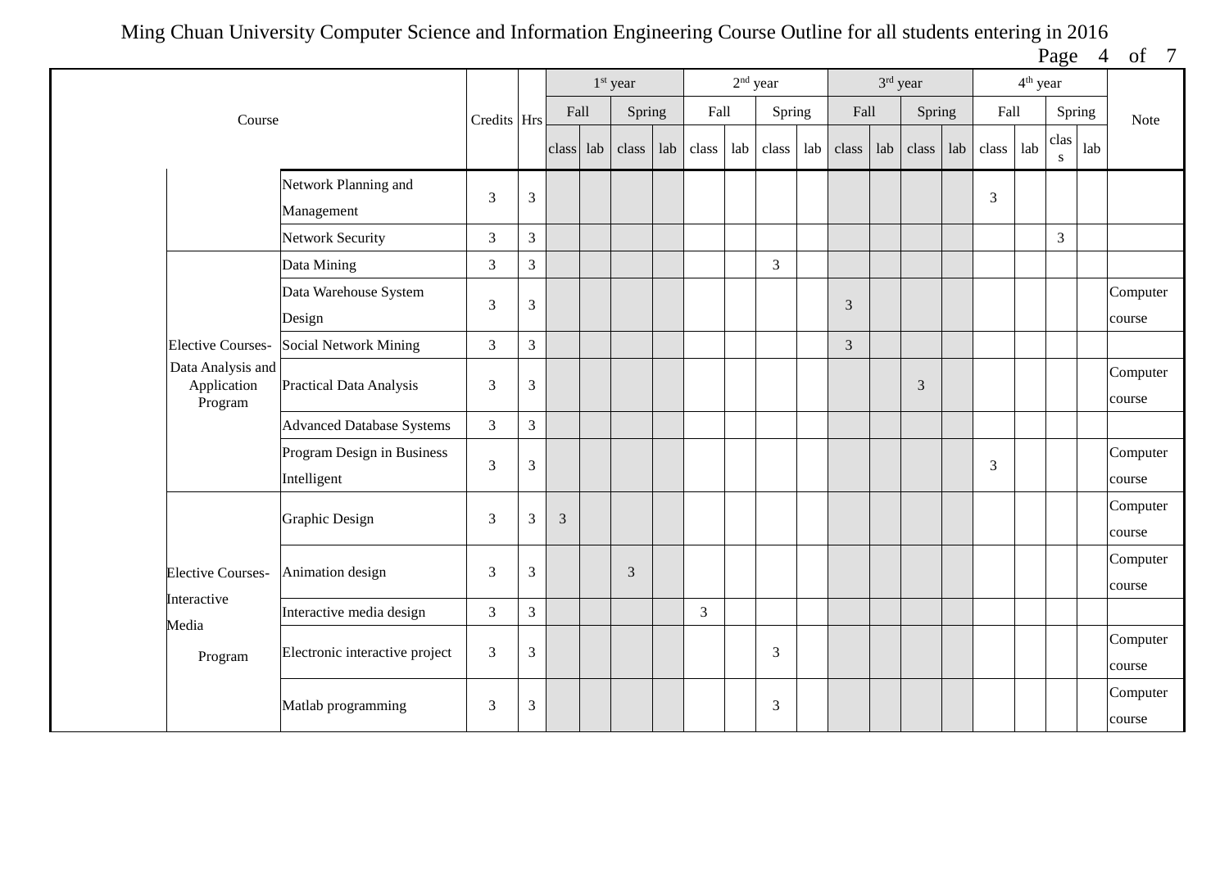Page 4 of 7

|                                             |                                           |                |                |       |     | 1 <sup>st</sup> year |     |                |     | $2nd$ year     |     |       |     | 3rd year |     |       | $4^{\text{th}}$ year |                |     |                    |
|---------------------------------------------|-------------------------------------------|----------------|----------------|-------|-----|----------------------|-----|----------------|-----|----------------|-----|-------|-----|----------|-----|-------|----------------------|----------------|-----|--------------------|
| Course                                      |                                           | Credits Hrs    |                | Fall  |     | Spring               |     | Fall           |     | Spring         |     | Fall  |     | Spring   |     | Fall  |                      | Spring         |     | Note               |
|                                             |                                           |                |                | class | lab | class                | lab | class          | lab | class          | lab | class | lab | class    | lab | class | lab                  | clas<br>S      | lab |                    |
|                                             | Network Planning and<br>Management        | 3              | $\overline{3}$ |       |     |                      |     |                |     |                |     |       |     |          |     | 3     |                      |                |     |                    |
|                                             | <b>Network Security</b>                   | 3              | 3              |       |     |                      |     |                |     |                |     |       |     |          |     |       |                      | $\overline{3}$ |     |                    |
|                                             | Data Mining                               | 3              | 3              |       |     |                      |     |                |     | $\overline{3}$ |     |       |     |          |     |       |                      |                |     |                    |
|                                             | Data Warehouse System<br>Design           | 3              | $\overline{3}$ |       |     |                      |     |                |     |                |     | 3     |     |          |     |       |                      |                |     | Computer<br>course |
| <b>Elective Courses-</b>                    | <b>Social Network Mining</b>              | 3              | $\overline{3}$ |       |     |                      |     |                |     |                |     | 3     |     |          |     |       |                      |                |     |                    |
| Data Analysis and<br>Application<br>Program | Practical Data Analysis                   | 3              | $\mathfrak{Z}$ |       |     |                      |     |                |     |                |     |       |     | 3        |     |       |                      |                |     | Computer<br>course |
|                                             | <b>Advanced Database Systems</b>          | 3              | 3              |       |     |                      |     |                |     |                |     |       |     |          |     |       |                      |                |     |                    |
|                                             | Program Design in Business<br>Intelligent | 3              | $\mathfrak{Z}$ |       |     |                      |     |                |     |                |     |       |     |          |     | 3     |                      |                |     | Computer<br>course |
|                                             | Graphic Design                            | 3              | 3              | 3     |     |                      |     |                |     |                |     |       |     |          |     |       |                      |                |     | Computer<br>course |
| <b>Elective Courses-</b>                    | Animation design                          | 3              | $\mathfrak{Z}$ |       |     | $\mathfrak{Z}$       |     |                |     |                |     |       |     |          |     |       |                      |                |     | Computer<br>course |
| Interactive                                 | Interactive media design                  | 3              | $\mathfrak{Z}$ |       |     |                      |     | $\overline{3}$ |     |                |     |       |     |          |     |       |                      |                |     |                    |
| Media<br>Program                            | Electronic interactive project            | 3              | $\mathfrak{Z}$ |       |     |                      |     |                |     | 3              |     |       |     |          |     |       |                      |                |     | Computer<br>course |
|                                             | Matlab programming                        | $\mathfrak{Z}$ | 3              |       |     |                      |     |                |     | $\mathfrak{Z}$ |     |       |     |          |     |       |                      |                |     | Computer<br>course |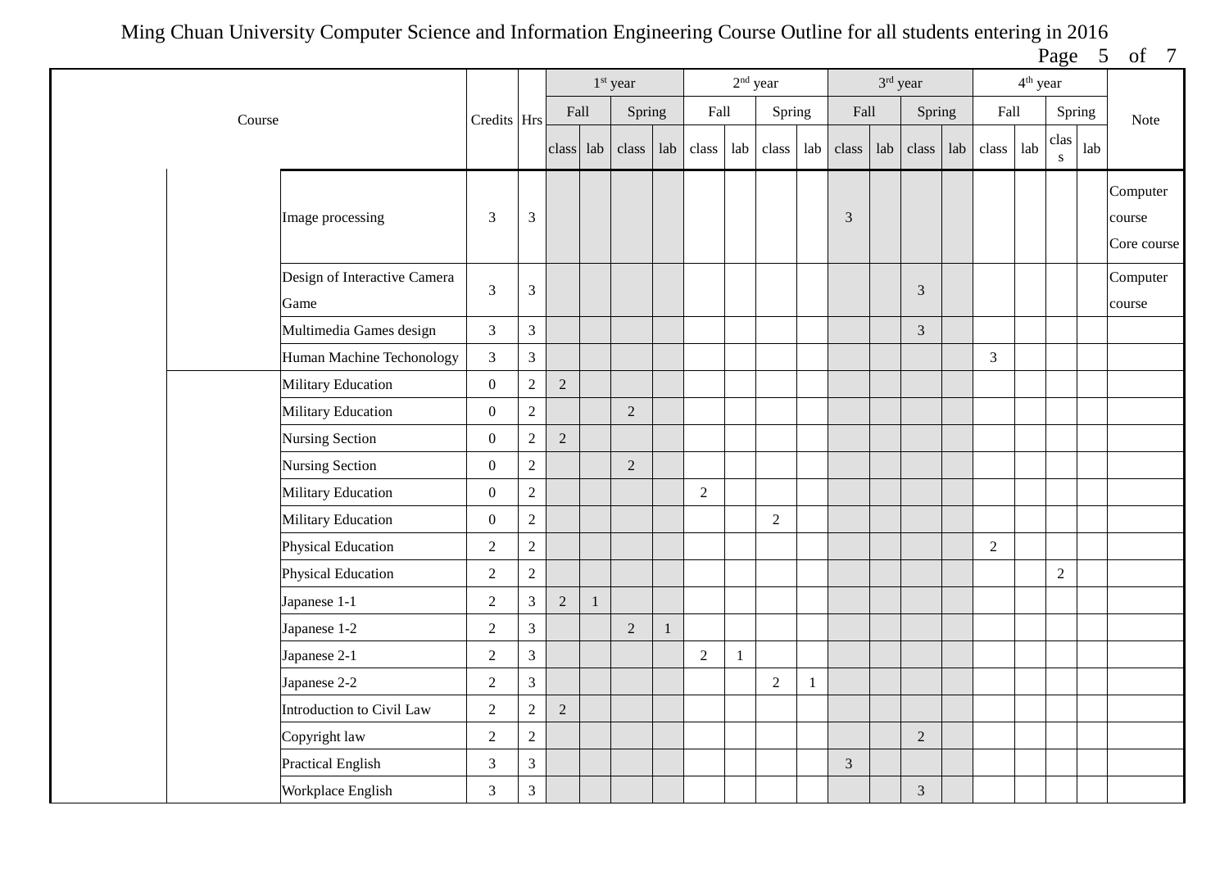Page 5 of 7

|        |                                      |                  |                |                |              | 1 <sup>st</sup> year |     |                | $2nd$ year |                |              |       | 3rd year |                |     |                | 4 <sup>th</sup> year |                     |             |                                   |
|--------|--------------------------------------|------------------|----------------|----------------|--------------|----------------------|-----|----------------|------------|----------------|--------------|-------|----------|----------------|-----|----------------|----------------------|---------------------|-------------|-----------------------------------|
| Course |                                      | Credits Hrs      |                | Fall           |              | Spring               |     | Fall           |            | Spring         |              | Fall  |          | Spring         |     | Fall           |                      | Spring              |             | Note                              |
|        |                                      |                  |                | class lab      |              | class                | lab | class          | lab        | class          | lab          | class | lab      | class          | lab | class          | lab                  | clas<br>$\mathbf S$ | ${\rm lab}$ |                                   |
|        | Image processing                     | 3                | $\mathfrak{Z}$ |                |              |                      |     |                |            |                |              | 3     |          |                |     |                |                      |                     |             | Computer<br>course<br>Core course |
|        | Design of Interactive Camera<br>Game | $\overline{3}$   | $\mathfrak{Z}$ |                |              |                      |     |                |            |                |              |       |          | 3              |     |                |                      |                     |             | Computer<br>course                |
|        | Multimedia Games design              | $\overline{3}$   | $\overline{3}$ |                |              |                      |     |                |            |                |              |       |          | $\overline{3}$ |     |                |                      |                     |             |                                   |
|        | Human Machine Techonology            | $\mathfrak{Z}$   | $\mathfrak{Z}$ |                |              |                      |     |                |            |                |              |       |          |                |     | $\mathfrak{Z}$ |                      |                     |             |                                   |
|        | Military Education                   | $\mathbf{0}$     | $\sqrt{2}$     | $\overline{2}$ |              |                      |     |                |            |                |              |       |          |                |     |                |                      |                     |             |                                   |
|        | Military Education                   | $\boldsymbol{0}$ | $\sqrt{2}$     |                |              | $\overline{2}$       |     |                |            |                |              |       |          |                |     |                |                      |                     |             |                                   |
|        | Nursing Section                      | $\mathbf{0}$     | $\overline{2}$ | 2              |              |                      |     |                |            |                |              |       |          |                |     |                |                      |                     |             |                                   |
|        | Nursing Section                      | $\boldsymbol{0}$ | $\sqrt{2}$     |                |              | $\sqrt{2}$           |     |                |            |                |              |       |          |                |     |                |                      |                     |             |                                   |
|        | Military Education                   | $\overline{0}$   | $\sqrt{2}$     |                |              |                      |     | $\overline{2}$ |            |                |              |       |          |                |     |                |                      |                     |             |                                   |
|        | Military Education                   | $\boldsymbol{0}$ | $\sqrt{2}$     |                |              |                      |     |                |            | $\overline{2}$ |              |       |          |                |     |                |                      |                     |             |                                   |
|        | Physical Education                   | $\overline{2}$   | $\overline{2}$ |                |              |                      |     |                |            |                |              |       |          |                |     | $\overline{2}$ |                      |                     |             |                                   |
|        | Physical Education                   | $\overline{2}$   | $\sqrt{2}$     |                |              |                      |     |                |            |                |              |       |          |                |     |                |                      | $\sqrt{2}$          |             |                                   |
|        | Japanese 1-1                         | $\sqrt{2}$       | $\overline{3}$ | $\overline{2}$ | $\mathbf{1}$ |                      |     |                |            |                |              |       |          |                |     |                |                      |                     |             |                                   |
|        | Japanese 1-2                         | $\sqrt{2}$       | $\overline{3}$ |                |              | $\sqrt{2}$           |     |                |            |                |              |       |          |                |     |                |                      |                     |             |                                   |
|        | Japanese 2-1                         | $\sqrt{2}$       | $\overline{3}$ |                |              |                      |     | $\sqrt{2}$     | 1          |                |              |       |          |                |     |                |                      |                     |             |                                   |
|        | Japanese 2-2                         | $\sqrt{2}$       | $\mathfrak{Z}$ |                |              |                      |     |                |            | $\sqrt{2}$     | $\mathbf{1}$ |       |          |                |     |                |                      |                     |             |                                   |
|        | Introduction to Civil Law            | $\overline{2}$   | $\overline{2}$ | $\overline{2}$ |              |                      |     |                |            |                |              |       |          |                |     |                |                      |                     |             |                                   |
|        | Copyright law                        | $\sqrt{2}$       | $\overline{2}$ |                |              |                      |     |                |            |                |              |       |          | $\sqrt{2}$     |     |                |                      |                     |             |                                   |
|        | <b>Practical English</b>             | $\overline{3}$   | $\overline{3}$ |                |              |                      |     |                |            |                |              | 3     |          |                |     |                |                      |                     |             |                                   |
|        | Workplace English                    | $\mathfrak{Z}$   | $\overline{3}$ |                |              |                      |     |                |            |                |              |       |          | $\mathfrak{Z}$ |     |                |                      |                     |             |                                   |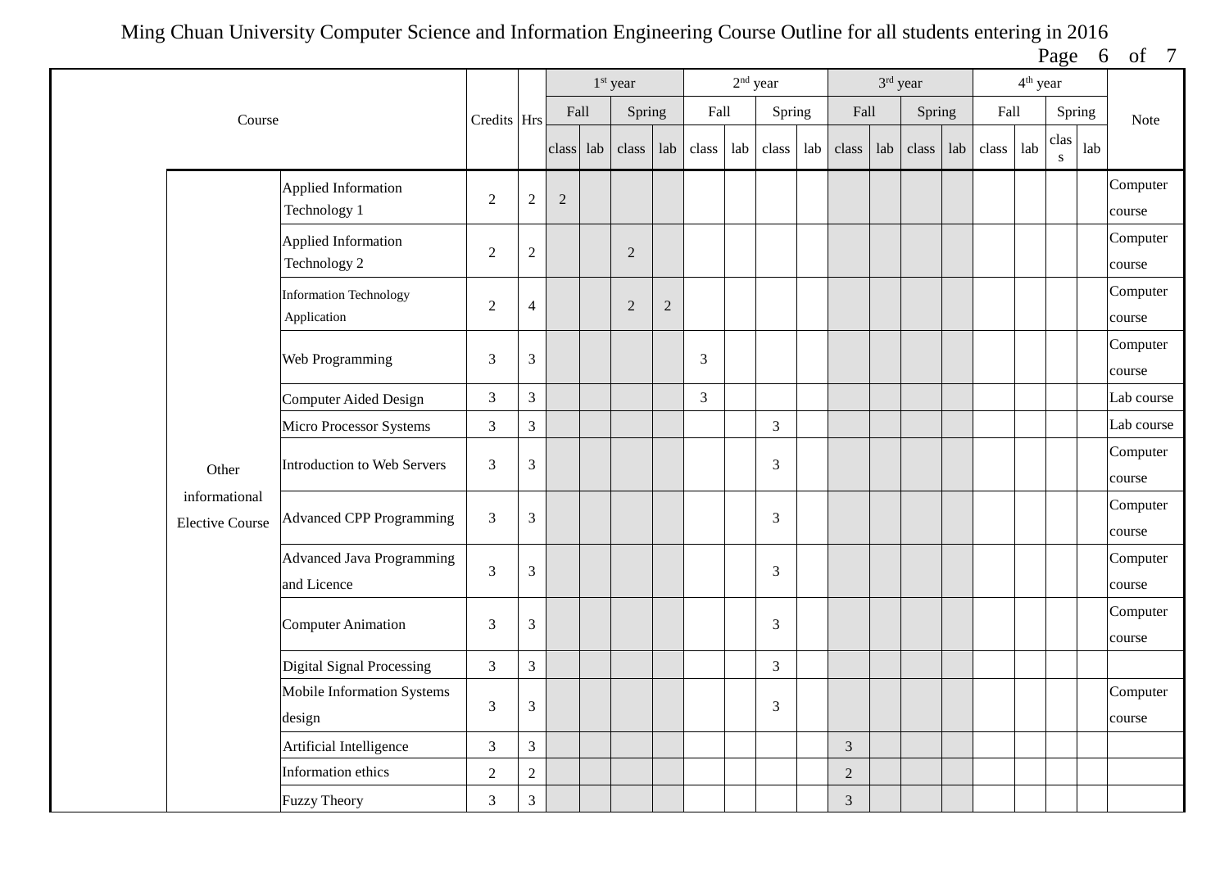Page 6 of 7

|                                         |                                          |                  |                |            | 1 <sup>st</sup> year |            |                | $2nd$ year |                |                |     | 3rd year |     |       | 4 <sup>th</sup> year |           |     |                    |
|-----------------------------------------|------------------------------------------|------------------|----------------|------------|----------------------|------------|----------------|------------|----------------|----------------|-----|----------|-----|-------|----------------------|-----------|-----|--------------------|
| Course                                  |                                          | Credits Hrs      |                | Fall       | Spring               |            | Fall           |            | Spring         | Fall           |     | Spring   |     | Fall  |                      | Spring    |     | Note               |
|                                         |                                          |                  |                | class lab  | class                | lab        | class          | lab        | class          | lab class      | lab | class    | lab | class | lab                  | clas<br>S | lab |                    |
|                                         | Applied Information<br>Technology 1      | $\overline{2}$   | $\sqrt{2}$     | $\sqrt{2}$ |                      |            |                |            |                |                |     |          |     |       |                      |           |     | Computer<br>course |
|                                         | Applied Information<br>Technology 2      | $\boldsymbol{2}$ | $\mathbf{2}$   |            | $\overline{2}$       |            |                |            |                |                |     |          |     |       |                      |           |     | Computer<br>course |
|                                         | Information Technology<br>Application    | $\sqrt{2}$       | $\overline{4}$ |            | $\overline{2}$       | $\sqrt{2}$ |                |            |                |                |     |          |     |       |                      |           |     | Computer<br>course |
|                                         | Web Programming                          | $\mathfrak{Z}$   | $\mathfrak{Z}$ |            |                      |            | 3              |            |                |                |     |          |     |       |                      |           |     | Computer<br>course |
|                                         | <b>Computer Aided Design</b>             | $\overline{3}$   | $\overline{3}$ |            |                      |            | $\overline{3}$ |            |                |                |     |          |     |       |                      |           |     | Lab course         |
|                                         | Micro Processor Systems                  | $\mathfrak{Z}$   | $\mathfrak{Z}$ |            |                      |            |                |            | $\mathfrak{Z}$ |                |     |          |     |       |                      |           |     | Lab course         |
| Other                                   | Introduction to Web Servers              | 3                | 3              |            |                      |            |                |            | 3              |                |     |          |     |       |                      |           |     | Computer<br>course |
| informational<br><b>Elective Course</b> | <b>Advanced CPP Programming</b>          | $\overline{3}$   | 3              |            |                      |            |                |            | 3              |                |     |          |     |       |                      |           |     | Computer<br>course |
|                                         | Advanced Java Programming<br>and Licence | $\mathfrak{Z}$   | $\mathfrak{Z}$ |            |                      |            |                |            | 3              |                |     |          |     |       |                      |           |     | Computer<br>course |
|                                         | <b>Computer Animation</b>                | 3                | 3              |            |                      |            |                |            | 3              |                |     |          |     |       |                      |           |     | Computer<br>course |
|                                         | Digital Signal Processing                | $\mathfrak{Z}$   | $\overline{3}$ |            |                      |            |                |            | $\mathfrak{Z}$ |                |     |          |     |       |                      |           |     |                    |
|                                         | Mobile Information Systems<br>design     | $\mathfrak{Z}$   | $\sqrt{3}$     |            |                      |            |                |            | 3              |                |     |          |     |       |                      |           |     | Computer<br>course |
|                                         | Artificial Intelligence                  | $\mathfrak{Z}$   | $\mathfrak{Z}$ |            |                      |            |                |            |                | $\mathfrak{Z}$ |     |          |     |       |                      |           |     |                    |
|                                         | Information ethics                       | $\sqrt{2}$       | $\overline{2}$ |            |                      |            |                |            |                | $\sqrt{2}$     |     |          |     |       |                      |           |     |                    |
|                                         | <b>Fuzzy Theory</b>                      | $\mathfrak{Z}$   | $\overline{3}$ |            |                      |            |                |            |                | $\mathfrak{Z}$ |     |          |     |       |                      |           |     |                    |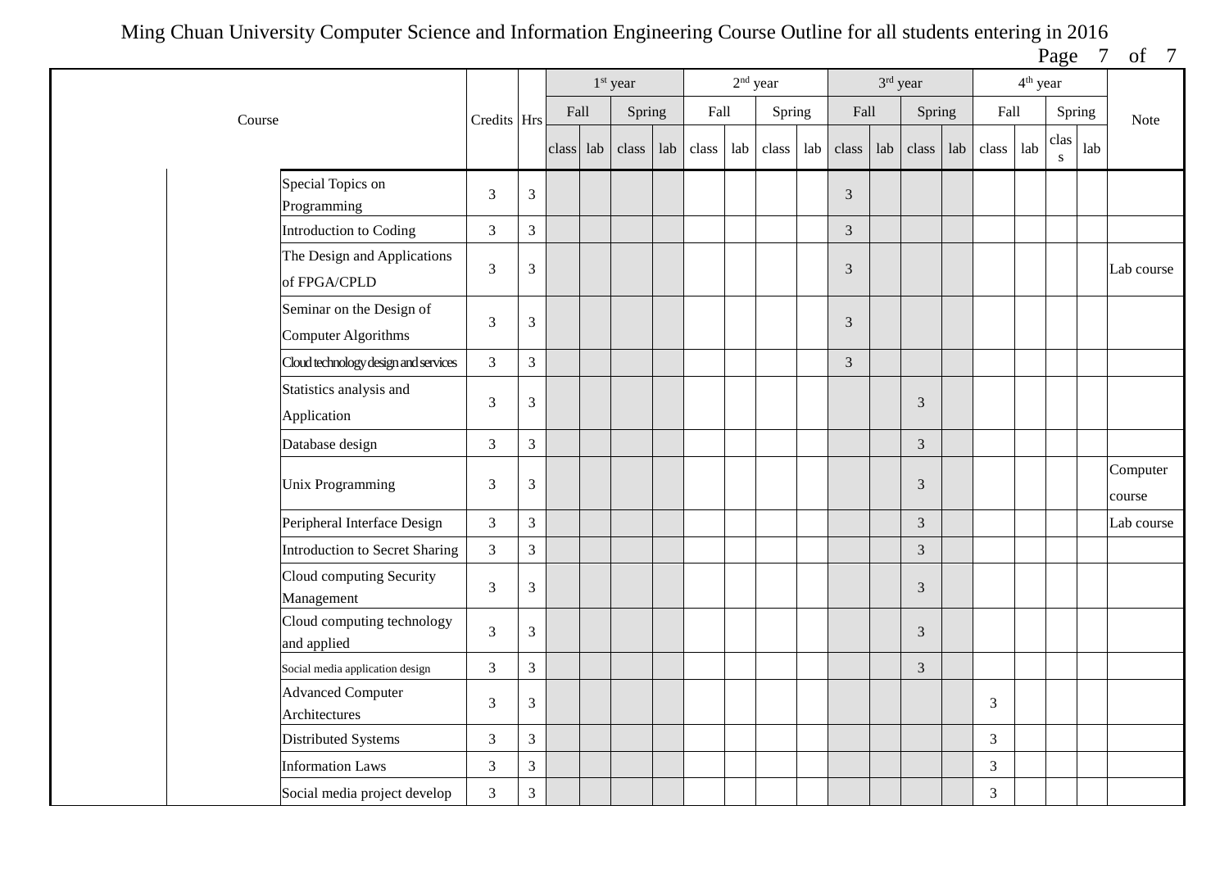Page 7 of 7

|                                                        |                |                |           | 1 <sup>st</sup> year |     |       | $2nd$ year |        |     |                | 3rd year |                |     |                | 4 <sup>th</sup> year |           |     |                    |
|--------------------------------------------------------|----------------|----------------|-----------|----------------------|-----|-------|------------|--------|-----|----------------|----------|----------------|-----|----------------|----------------------|-----------|-----|--------------------|
| Course                                                 | Credits Hrs    |                | Fall      | Spring               |     | Fall  |            | Spring |     | Fall           |          | Spring         |     | Fall           |                      | Spring    |     | Note               |
|                                                        |                |                | class lab | class                | lab | class | lab        | class  | lab | class          | lab      | class          | lab | class          | lab                  | clas<br>S | lab |                    |
| Special Topics on<br>Programming                       | 3              | $\mathfrak{Z}$ |           |                      |     |       |            |        |     | $\overline{3}$ |          |                |     |                |                      |           |     |                    |
| Introduction to Coding                                 | 3              | $\overline{3}$ |           |                      |     |       |            |        |     | $\overline{3}$ |          |                |     |                |                      |           |     |                    |
| The Design and Applications<br>of FPGA/CPLD            | $\mathfrak{Z}$ | $\mathfrak{Z}$ |           |                      |     |       |            |        |     | 3              |          |                |     |                |                      |           |     | Lab course         |
| Seminar on the Design of<br><b>Computer Algorithms</b> | 3              | $\mathfrak{Z}$ |           |                      |     |       |            |        |     | $\mathfrak{Z}$ |          |                |     |                |                      |           |     |                    |
| Cloud technology design and services                   | 3              | $\overline{3}$ |           |                      |     |       |            |        |     | $\mathfrak{Z}$ |          |                |     |                |                      |           |     |                    |
| Statistics analysis and<br>Application                 | 3              | $\mathfrak{Z}$ |           |                      |     |       |            |        |     |                |          | 3              |     |                |                      |           |     |                    |
| Database design                                        | 3              | $\overline{3}$ |           |                      |     |       |            |        |     |                |          | $\mathfrak{Z}$ |     |                |                      |           |     |                    |
| <b>Unix Programming</b>                                | 3              | $\overline{3}$ |           |                      |     |       |            |        |     |                |          | 3              |     |                |                      |           |     | Computer<br>course |
| Peripheral Interface Design                            | 3              | $\overline{3}$ |           |                      |     |       |            |        |     |                |          | $\mathfrak{Z}$ |     |                |                      |           |     | Lab course         |
| <b>Introduction to Secret Sharing</b>                  | $\overline{3}$ | $\overline{3}$ |           |                      |     |       |            |        |     |                |          | $\overline{3}$ |     |                |                      |           |     |                    |
| Cloud computing Security<br>Management                 | 3              | $\overline{3}$ |           |                      |     |       |            |        |     |                |          | 3              |     |                |                      |           |     |                    |
| Cloud computing technology<br>and applied              | 3              | $\overline{3}$ |           |                      |     |       |            |        |     |                |          | $\overline{3}$ |     |                |                      |           |     |                    |
| Social media application design                        | $\mathfrak{Z}$ | $\overline{3}$ |           |                      |     |       |            |        |     |                |          | $\mathfrak{Z}$ |     |                |                      |           |     |                    |
| <b>Advanced Computer</b><br>Architectures              | 3              | $\overline{3}$ |           |                      |     |       |            |        |     |                |          |                |     | $\mathfrak{Z}$ |                      |           |     |                    |
| Distributed Systems                                    | 3              | $\overline{3}$ |           |                      |     |       |            |        |     |                |          |                |     | $\overline{3}$ |                      |           |     |                    |
| <b>Information Laws</b>                                | 3              | $\overline{3}$ |           |                      |     |       |            |        |     |                |          |                |     | $\overline{3}$ |                      |           |     |                    |
| Social media project develop                           | 3              | $\overline{3}$ |           |                      |     |       |            |        |     |                |          |                |     | $\mathfrak{Z}$ |                      |           |     |                    |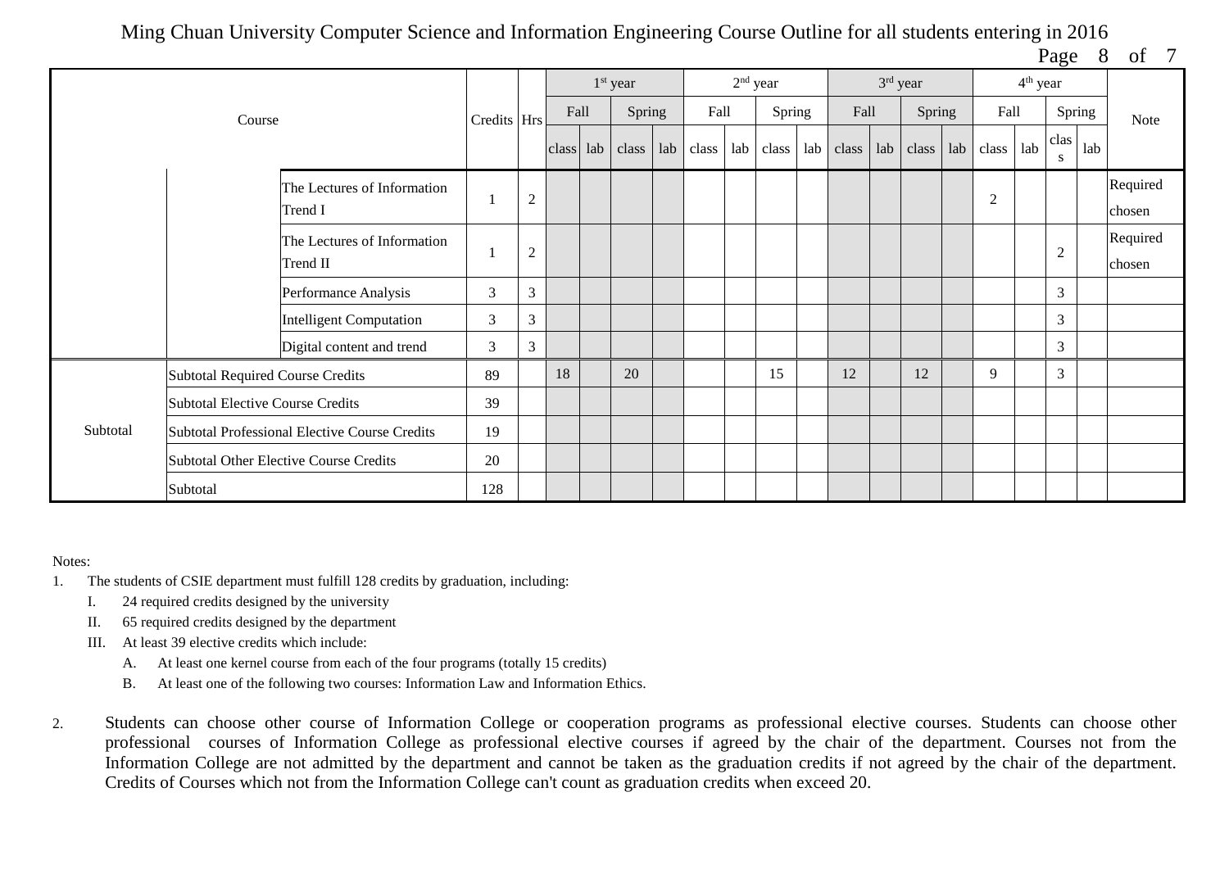Page 8 of 7

|          |                                         |                                               |               |                |      | $1st$ year          |     |       | $2nd$ year |        |     |       |     | $3rd$ year |                | 4 <sup>th</sup> year |                |        |                    |
|----------|-----------------------------------------|-----------------------------------------------|---------------|----------------|------|---------------------|-----|-------|------------|--------|-----|-------|-----|------------|----------------|----------------------|----------------|--------|--------------------|
|          | Course                                  |                                               | Credits   Hrs |                | Fall | Spring              |     | Fall  |            | Spring |     | Fall  |     | Spring     | Fall           |                      |                | Spring | Note               |
|          |                                         |                                               |               |                |      | class   lab   class | lab | class | lab        | class  | lab | class | lab | class      | $lab$ $class$  | lab                  | clas<br>S      | lab    |                    |
|          |                                         | The Lectures of Information<br>Trend I        |               | $\overline{2}$ |      |                     |     |       |            |        |     |       |     |            | $\overline{2}$ |                      |                |        | Required<br>chosen |
|          |                                         | The Lectures of Information<br>Trend II       |               | $\overline{2}$ |      |                     |     |       |            |        |     |       |     |            |                |                      | $\overline{2}$ |        | Required<br>chosen |
|          |                                         | Performance Analysis                          | 3             | 3              |      |                     |     |       |            |        |     |       |     |            |                |                      | 3              |        |                    |
|          |                                         | <b>Intelligent Computation</b>                | 3             | 3              |      |                     |     |       |            |        |     |       |     |            |                |                      | 3              |        |                    |
|          |                                         | Digital content and trend                     | 3             | 3              |      |                     |     |       |            |        |     |       |     |            |                |                      | $\mathfrak{Z}$ |        |                    |
|          | <b>Subtotal Required Course Credits</b> |                                               | 89            |                | 18   | 20                  |     |       |            | 15     |     | 12    |     | 12         | 9              |                      | 3              |        |                    |
|          | <b>Subtotal Elective Course Credits</b> |                                               | 39            |                |      |                     |     |       |            |        |     |       |     |            |                |                      |                |        |                    |
| Subtotal |                                         | Subtotal Professional Elective Course Credits | 19            |                |      |                     |     |       |            |        |     |       |     |            |                |                      |                |        |                    |
|          |                                         | <b>Subtotal Other Elective Course Credits</b> | 20            |                |      |                     |     |       |            |        |     |       |     |            |                |                      |                |        |                    |
|          | Subtotal                                |                                               | 128           |                |      |                     |     |       |            |        |     |       |     |            |                |                      |                |        |                    |

## Notes:

- 1. The students of CSIE department must fulfill 128 credits by graduation, including:
	- I. 24 required credits designed by the university
	- II. 65 required credits designed by the department
	- III. At least 39 elective credits which include:
		- A. At least one kernel course from each of the four programs (totally 15 credits)
		- B. At least one of the following two courses: Information Law and Information Ethics.
- 2. Students can choose other course of Information College or cooperation programs as professional elective courses. Students can choose other professional courses of Information College as professional elective courses if agreed by the chair of the department. Courses not from the Information College are not admitted by the department and cannot be taken as the graduation credits if not agreed by the chair of the department. Credits of Courses which not from the Information College can't count as graduation credits when exceed 20.